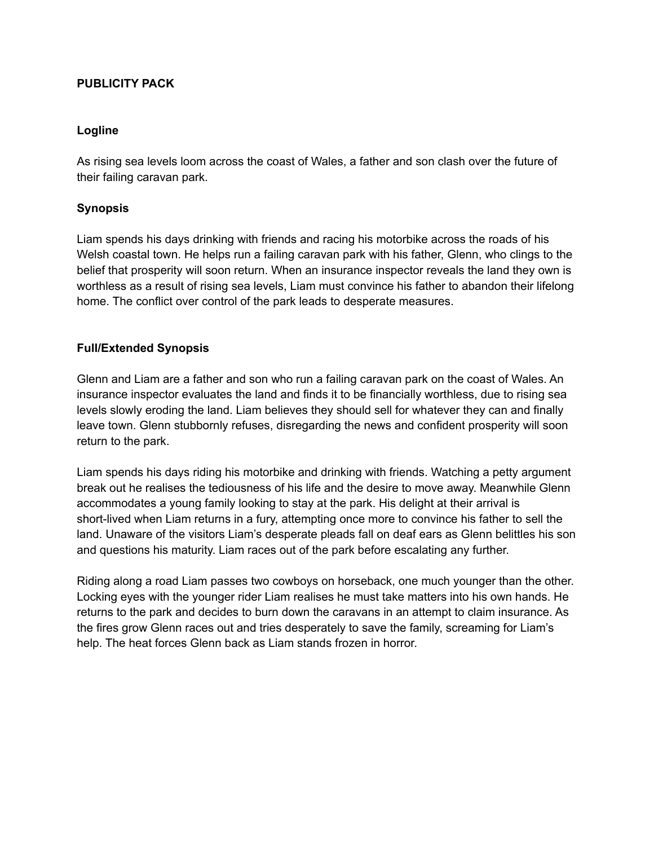# **PUBLICITY PACK**

## **Logline**

As rising sea levels loom across the coast of Wales, a father and son clash over the future of their failing caravan park.

## **Synopsis**

Liam spends his days drinking with friends and racing his motorbike across the roads of his Welsh coastal town. He helps run a failing caravan park with his father, Glenn, who clings to the belief that prosperity will soon return. When an insurance inspector reveals the land they own is worthless as a result of rising sea levels, Liam must convince his father to abandon their lifelong home. The conflict over control of the park leads to desperate measures.

# **Full/Extended Synopsis**

Glenn and Liam are a father and son who run a failing caravan park on the coast of Wales. An insurance inspector evaluates the land and finds it to be financially worthless, due to rising sea levels slowly eroding the land. Liam believes they should sell for whatever they can and finally leave town. Glenn stubbornly refuses, disregarding the news and confident prosperity will soon return to the park.

Liam spends his days riding his motorbike and drinking with friends. Watching a petty argument break out he realises the tediousness of his life and the desire to move away. Meanwhile Glenn accommodates a young family looking to stay at the park. His delight at their arrival is short-lived when Liam returns in a fury, attempting once more to convince his father to sell the land. Unaware of the visitors Liam's desperate pleads fall on deaf ears as Glenn belittles his son and questions his maturity. Liam races out of the park before escalating any further.

Riding along a road Liam passes two cowboys on horseback, one much younger than the other. Locking eyes with the younger rider Liam realises he must take matters into his own hands. He returns to the park and decides to burn down the caravans in an attempt to claim insurance. As the fires grow Glenn races out and tries desperately to save the family, screaming for Liam's help. The heat forces Glenn back as Liam stands frozen in horror.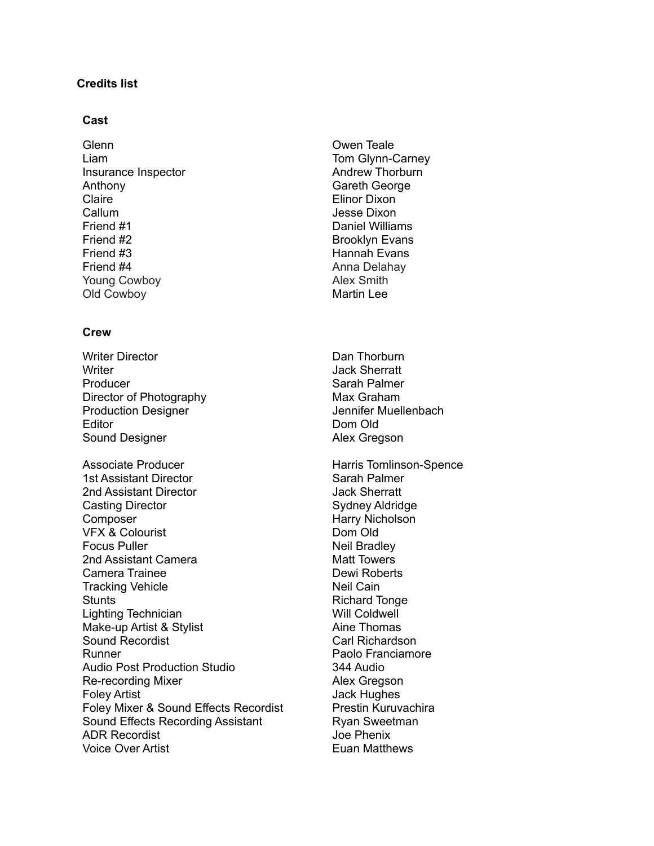# **Credits list**

#### **Cast**

Glenn Liam Insurance Inspector Anthony Claire Callum Friend #1 Friend #2 Friend #3 Friend #4 Young Cowboy Old Cowboy

#### **Crew**

- Writer Director **Writer** Producer Director of Photography Production Designer **Editor** Sound Designer
- Associate Producer 1st Assistant Director 2nd Assistant Director Casting Director Composer VFX & Colourist Focus Puller 2nd Assistant Camera Camera Trainee Tracking Vehicle **Stunts** Lighting Technician Make-up Artist & Stylist Sound Recordist Runner Audio Post Production Studio Re-recording Mixer Foley Artist Foley Mixer & Sound Effects Recordist Sound Effects Recording Assistant ADR Recordist Voice Over Artist
- Owen Teale Tom Glynn-Carney Andrew Thorburn Gareth George Elinor Dixon Jesse Dixon Daniel Williams Brooklyn Evans Hannah Evans Anna Delahay Alex Smith Martin Lee
- Dan Thorburn Jack Sherratt Sarah Palmer Max Graham Jennifer Muellenbach Dom Old Alex Gregson
- Harris Tomlinson-Spence Sarah Palmer Jack Sherratt Sydney Aldridge Harry Nicholson Dom Old Neil Bradley Matt Towers Dewi Roberts Neil Cain Richard Tonge Will Coldwell Aine Thomas Carl Richardson Paolo Franciamore 344 Audio Alex Gregson Jack Hughes Prestin Kuruvachira Ryan Sweetman Joe Phenix Euan Matthews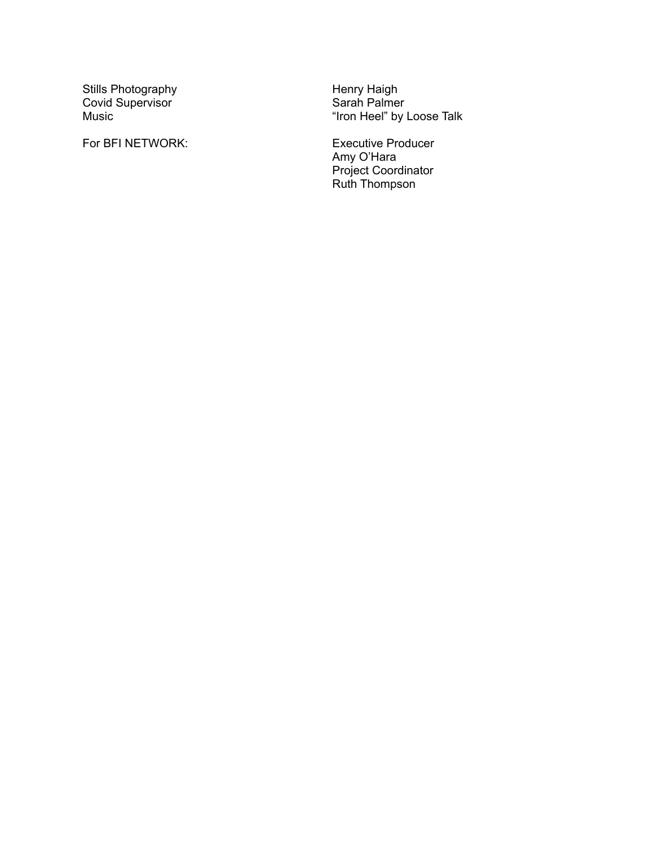Stills Photography Covid Supervisor M u sic

For BFI NETWORI

He<br>Sa Sa<br>"Ir"<br>K: E> enry Haigh Sarah Palmer "Iron Heel" by Loose Talk

Executive Producer Amy O'Hara Project Coordinator Ruth Thompson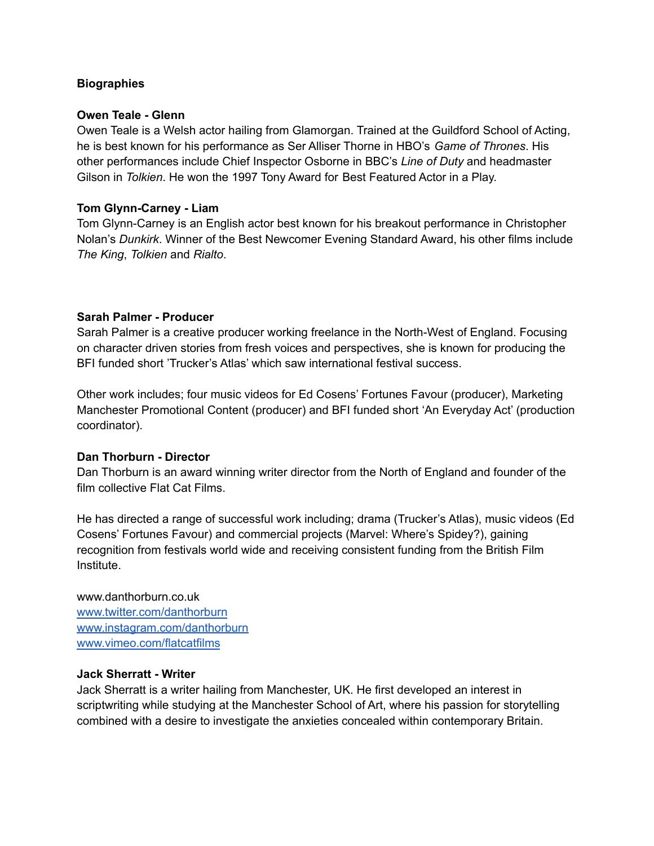# **Biographies**

## **Owen Teale - Glenn**

Owen Teale is a Welsh actor hailing from Glamorgan. Trained at the Guildford School of Acting, he is best known for his performance as Ser Alliser Thorne in HBO's *Game of Thrones*. His other performances include Chief Inspector Osborne in BBC's *Line of Duty* and headmaster Gilson in *Tolkien*. He won the 1997 Tony Award for Best Featured Actor in a Play.

## **Tom Glynn-Carney - Liam**

Tom Glynn-Carney is an English actor best known for his breakout performance in Christopher Nolan's *Dunkirk*. Winner of the Best Newcomer Evening Standard Award, his other films include *The King*, *Tolkien* and *Rialto*.

# **Sarah Palmer - Producer**

Sarah Palmer is a creative producer working freelance in the North-West of England. Focusing on character driven stories from fresh voices and perspectives, she is known for producing the BFI funded short 'Trucker's Atlas' which saw international festival success.

Other work includes; four music videos for Ed Cosens' Fortunes Favour (producer), Marketing Manchester Promotional Content (producer) and BFI funded short 'An Everyday Act' (production coordinator).

# **Dan Thorburn - Director**

Dan Thorburn is an award winning writer director from the North of England and founder of the film collective Flat Cat Films.

He has directed a range of successful work including; drama (Trucker's Atlas), music videos (Ed Cosens' Fortunes Favour) and commercial projects (Marvel: Where's Spidey?), gaining recognition from festivals world wide and receiving consistent funding from the British Film Institute.

www.danthorburn.co.uk [www.twitter.com/danthorburn](http://www.twitter.com/danthorburn) [www.instagram.com/danthorburn](http://www.instagram.com/danthorburn) [www.vimeo.com/flatcatfilms](http://www.vimeo.com/flatcatfilms)

#### **Jack Sherratt - Writer**

Jack Sherratt is a writer hailing from Manchester, UK. He first developed an interest in scriptwriting while studying at the Manchester School of Art, where his passion for storytelling combined with a desire to investigate the anxieties concealed within contemporary Britain.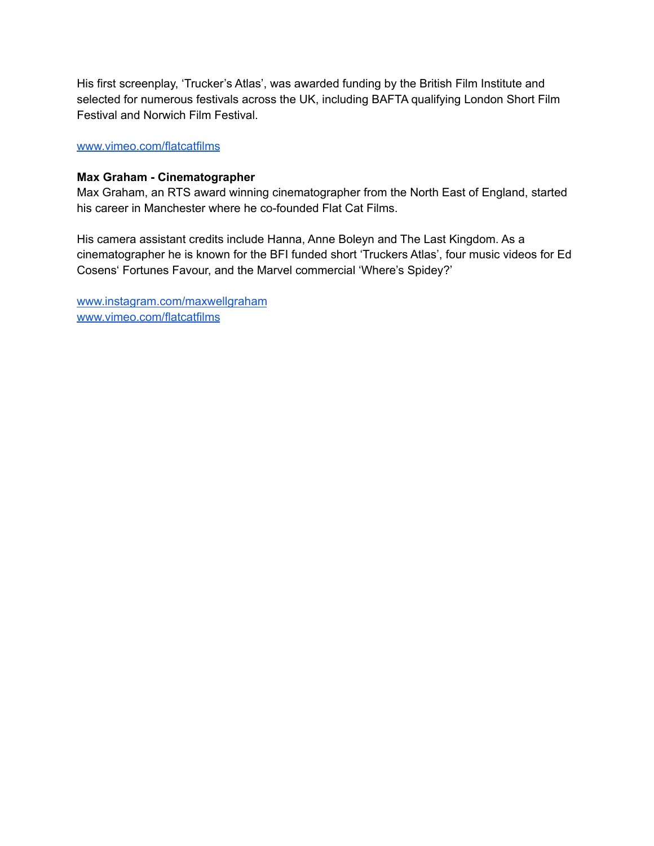His first screenplay, 'Trucker's Atlas', was awarded funding by the British Film Institute and selected for numerous festivals across the UK, including BAFTA qualifying London Short Film Festival and Norwich Film Festival.

#### [www.vimeo.com/flatcatfilms](http://www.vimeo.com/flatcatfilms)

## **Max Graham - Cinematographer**

Max Graham, an RTS award winning cinematographer from the North East of England, started his career in Manchester where he co-founded Flat Cat Films.

His camera assistant credits include Hanna, Anne Boleyn and The Last Kingdom. As a cinematographer he is known for the BFI funded short 'Truckers Atlas', four music videos for Ed Cosens' Fortunes Favour, and the Marvel commercial 'Where's Spidey?'

[www.instagram.com/maxwellgraham](http://www.instagram.com/maxwellgraham) [www.vimeo.com/flatcatfilms](http://www.vimeo.com/flatcatfilms)